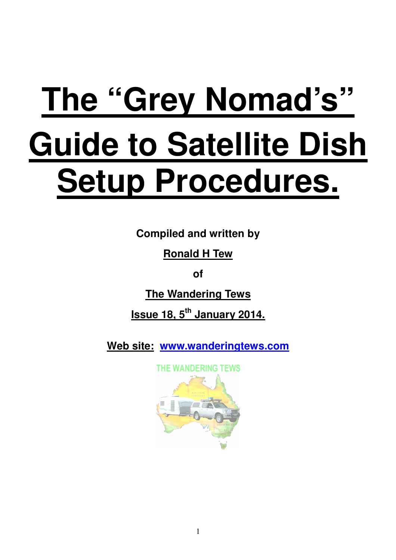# **The "Grey Nomad's" Guide to Satellite Dish Setup Procedures.**

**Compiled and written by** 

**Ronald H Tew** 

**of** 

**The Wandering Tews** 

**Issue 18, 5th January 2014.** 

**Web site: www.wanderingtews.com**

THE WANDERING TEWS

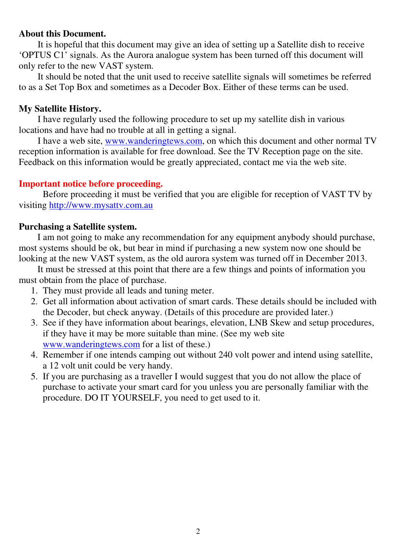#### **About this Document.**

 It is hopeful that this document may give an idea of setting up a Satellite dish to receive 'OPTUS C1' signals. As the Aurora analogue system has been turned off this document will only refer to the new VAST system.

 It should be noted that the unit used to receive satellite signals will sometimes be referred to as a Set Top Box and sometimes as a Decoder Box. Either of these terms can be used.

#### **My Satellite History.**

 I have regularly used the following procedure to set up my satellite dish in various locations and have had no trouble at all in getting a signal.

 I have a web site, www.wanderingtews.com, on which this document and other normal TV reception information is available for free download. See the TV Reception page on the site. Feedback on this information would be greatly appreciated, contact me via the web site.

#### **Important notice before proceeding.**

 Before proceeding it must be verified that you are eligible for reception of VAST TV by visiting http://www.mysattv.com.au

#### **Purchasing a Satellite system.**

 I am not going to make any recommendation for any equipment anybody should purchase, most systems should be ok, but bear in mind if purchasing a new system now one should be looking at the new VAST system, as the old aurora system was turned off in December 2013.

 It must be stressed at this point that there are a few things and points of information you must obtain from the place of purchase.

- 1. They must provide all leads and tuning meter.
- 2. Get all information about activation of smart cards. These details should be included with the Decoder, but check anyway. (Details of this procedure are provided later.)
- 3. See if they have information about bearings, elevation, LNB Skew and setup procedures, if they have it may be more suitable than mine. (See my web site www.wanderingtews.com for a list of these.)
- 4. Remember if one intends camping out without 240 volt power and intend using satellite, a 12 volt unit could be very handy.
- 5. If you are purchasing as a traveller I would suggest that you do not allow the place of purchase to activate your smart card for you unless you are personally familiar with the procedure. DO IT YOURSELF, you need to get used to it.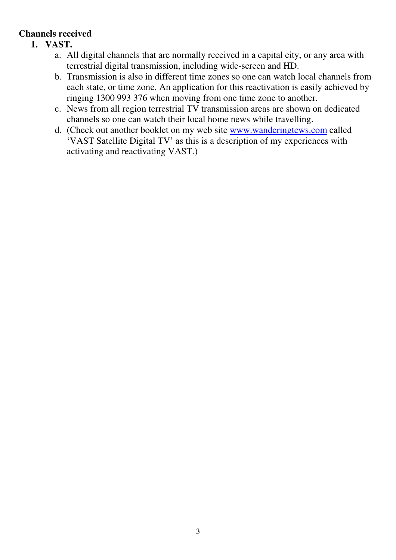# **Channels received**

- **1. VAST.** 
	- a. All digital channels that are normally received in a capital city, or any area with terrestrial digital transmission, including wide-screen and HD.
	- b. Transmission is also in different time zones so one can watch local channels from each state, or time zone. An application for this reactivation is easily achieved by ringing 1300 993 376 when moving from one time zone to another.
	- c. News from all region terrestrial TV transmission areas are shown on dedicated channels so one can watch their local home news while travelling.
	- d. (Check out another booklet on my web site www.wanderingtews.com called 'VAST Satellite Digital TV' as this is a description of my experiences with activating and reactivating VAST.)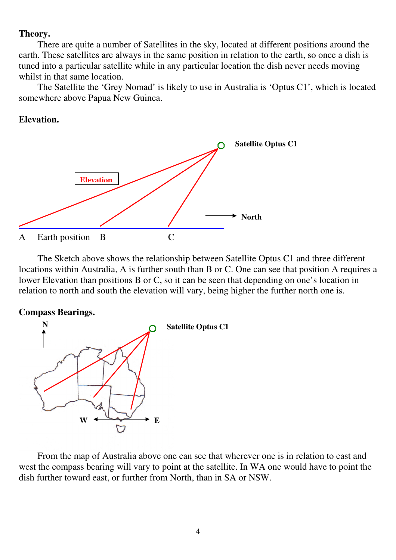#### **Theory.**

 There are quite a number of Satellites in the sky, located at different positions around the earth. These satellites are always in the same position in relation to the earth, so once a dish is tuned into a particular satellite while in any particular location the dish never needs moving whilst in that same location.

 The Satellite the 'Grey Nomad' is likely to use in Australia is 'Optus C1', which is located somewhere above Papua New Guinea.

#### **Elevation.**



 The Sketch above shows the relationship between Satellite Optus C1 and three different locations within Australia, A is further south than B or C. One can see that position A requires a lower Elevation than positions B or C, so it can be seen that depending on one's location in relation to north and south the elevation will vary, being higher the further north one is.

#### **Compass Bearings.**



 From the map of Australia above one can see that wherever one is in relation to east and west the compass bearing will vary to point at the satellite. In WA one would have to point the dish further toward east, or further from North, than in SA or NSW.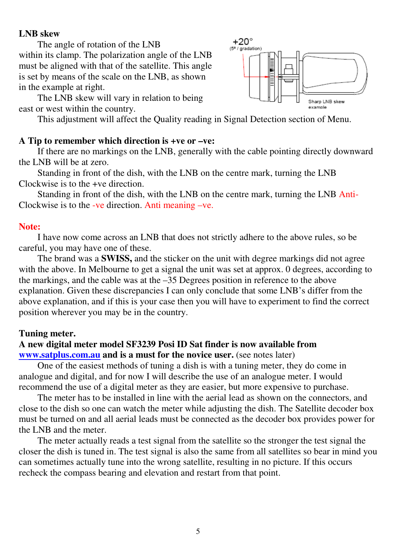#### **LNB skew**

The angle of rotation of the LNB

within its clamp. The polarization angle of the LNB must be aligned with that of the satellite. This angle is set by means of the scale on the LNB, as shown in the example at right.

 The LNB skew will vary in relation to being east or west within the country.

This adjustment will affect the Quality reading in Signal Detection section of Menu.

### **A Tip to remember which direction is +ve or –ve:**

 If there are no markings on the LNB, generally with the cable pointing directly downward the LNB will be at zero.

 Standing in front of the dish, with the LNB on the centre mark, turning the LNB Clockwise is to the +ve direction.

 Standing in front of the dish, with the LNB on the centre mark, turning the LNB Anti-Clockwise is to the -ve direction. Anti meaning –ve.

#### **Note:**

 I have now come across an LNB that does not strictly adhere to the above rules, so be careful, you may have one of these.

 The brand was a **SWISS,** and the sticker on the unit with degree markings did not agree with the above. In Melbourne to get a signal the unit was set at approx. 0 degrees, according to the markings, and the cable was at the –35 Degrees position in reference to the above explanation. Given these discrepancies I can only conclude that some LNB's differ from the above explanation, and if this is your case then you will have to experiment to find the correct position wherever you may be in the country.

#### **Tuning meter.**

#### **A new digital meter model SF3239 Posi ID Sat finder is now available from www.satplus.com.au and is a must for the novice user.** (see notes later)

 One of the easiest methods of tuning a dish is with a tuning meter, they do come in analogue and digital, and for now I will describe the use of an analogue meter. I would recommend the use of a digital meter as they are easier, but more expensive to purchase.

 The meter has to be installed in line with the aerial lead as shown on the connectors, and close to the dish so one can watch the meter while adjusting the dish. The Satellite decoder box must be turned on and all aerial leads must be connected as the decoder box provides power for the LNB and the meter.

The meter actually reads a test signal from the satellite so the stronger the test signal the closer the dish is tuned in. The test signal is also the same from all satellites so bear in mind you can sometimes actually tune into the wrong satellite, resulting in no picture. If this occurs recheck the compass bearing and elevation and restart from that point.

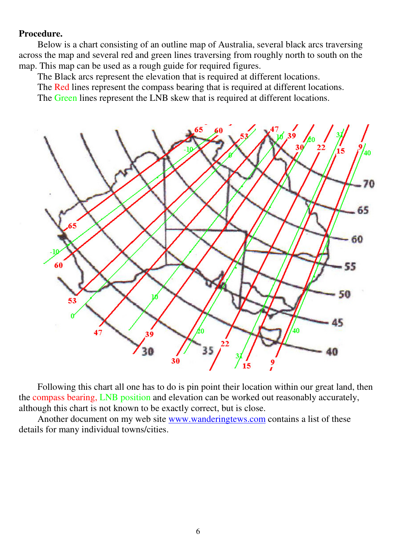#### **Procedure.**

 Below is a chart consisting of an outline map of Australia, several black arcs traversing across the map and several red and green lines traversing from roughly north to south on the map. This map can be used as a rough guide for required figures.

The Black arcs represent the elevation that is required at different locations.

The Red lines represent the compass bearing that is required at different locations.

The Green lines represent the LNB skew that is required at different locations.



 Following this chart all one has to do is pin point their location within our great land, then the compass bearing, LNB position and elevation can be worked out reasonably accurately, although this chart is not known to be exactly correct, but is close.

 Another document on my web site www.wanderingtews.com contains a list of these details for many individual towns/cities.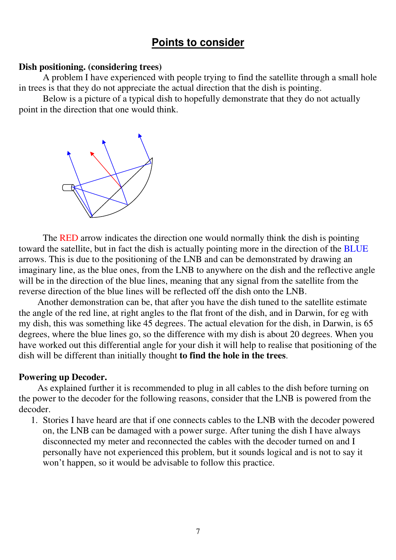# **Points to consider**

#### **Dish positioning. (considering trees)**

A problem I have experienced with people trying to find the satellite through a small hole in trees is that they do not appreciate the actual direction that the dish is pointing.

Below is a picture of a typical dish to hopefully demonstrate that they do not actually point in the direction that one would think.



The RED arrow indicates the direction one would normally think the dish is pointing toward the satellite, but in fact the dish is actually pointing more in the direction of the BLUE arrows. This is due to the positioning of the LNB and can be demonstrated by drawing an imaginary line, as the blue ones, from the LNB to anywhere on the dish and the reflective angle will be in the direction of the blue lines, meaning that any signal from the satellite from the reverse direction of the blue lines will be reflected off the dish onto the LNB.

 Another demonstration can be, that after you have the dish tuned to the satellite estimate the angle of the red line, at right angles to the flat front of the dish, and in Darwin, for eg with my dish, this was something like 45 degrees. The actual elevation for the dish, in Darwin, is 65 degrees, where the blue lines go, so the difference with my dish is about 20 degrees. When you have worked out this differential angle for your dish it will help to realise that positioning of the dish will be different than initially thought **to find the hole in the trees**.

#### **Powering up Decoder.**

 As explained further it is recommended to plug in all cables to the dish before turning on the power to the decoder for the following reasons, consider that the LNB is powered from the decoder.

1. Stories I have heard are that if one connects cables to the LNB with the decoder powered on, the LNB can be damaged with a power surge. After tuning the dish I have always disconnected my meter and reconnected the cables with the decoder turned on and I personally have not experienced this problem, but it sounds logical and is not to say it won't happen, so it would be advisable to follow this practice.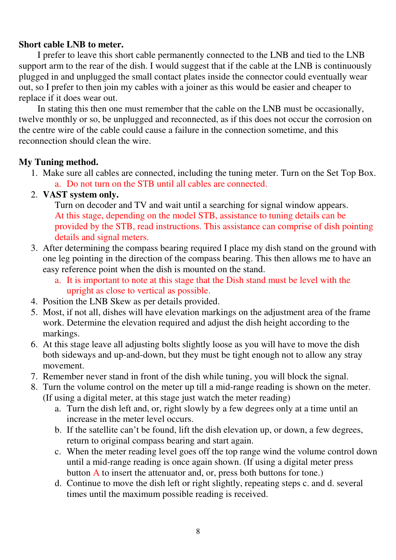#### **Short cable LNB to meter.**

 I prefer to leave this short cable permanently connected to the LNB and tied to the LNB support arm to the rear of the dish. I would suggest that if the cable at the LNB is continuously plugged in and unplugged the small contact plates inside the connector could eventually wear out, so I prefer to then join my cables with a joiner as this would be easier and cheaper to replace if it does wear out.

 In stating this then one must remember that the cable on the LNB must be occasionally, twelve monthly or so, be unplugged and reconnected, as if this does not occur the corrosion on the centre wire of the cable could cause a failure in the connection sometime, and this reconnection should clean the wire.

#### **My Tuning method.**

1. Make sure all cables are connected, including the tuning meter. Turn on the Set Top Box. a. Do not turn on the STB until all cables are connected.

## 2. **VAST system only.**

Turn on decoder and TV and wait until a searching for signal window appears. At this stage, depending on the model STB, assistance to tuning details can be provided by the STB, read instructions. This assistance can comprise of dish pointing details and signal meters.

- 3. After determining the compass bearing required I place my dish stand on the ground with one leg pointing in the direction of the compass bearing. This then allows me to have an easy reference point when the dish is mounted on the stand.
	- a. It is important to note at this stage that the Dish stand must be level with the upright as close to vertical as possible.
- 4. Position the LNB Skew as per details provided.
- 5. Most, if not all, dishes will have elevation markings on the adjustment area of the frame work. Determine the elevation required and adjust the dish height according to the markings.
- 6. At this stage leave all adjusting bolts slightly loose as you will have to move the dish both sideways and up-and-down, but they must be tight enough not to allow any stray movement.
- 7. Remember never stand in front of the dish while tuning, you will block the signal.
- 8. Turn the volume control on the meter up till a mid-range reading is shown on the meter. (If using a digital meter, at this stage just watch the meter reading)
	- a. Turn the dish left and, or, right slowly by a few degrees only at a time until an increase in the meter level occurs.
	- b. If the satellite can't be found, lift the dish elevation up, or down, a few degrees, return to original compass bearing and start again.
	- c. When the meter reading level goes off the top range wind the volume control down until a mid-range reading is once again shown. (If using a digital meter press button A to insert the attenuator and, or, press both buttons for tone.)
	- d. Continue to move the dish left or right slightly, repeating steps c. and d. several times until the maximum possible reading is received.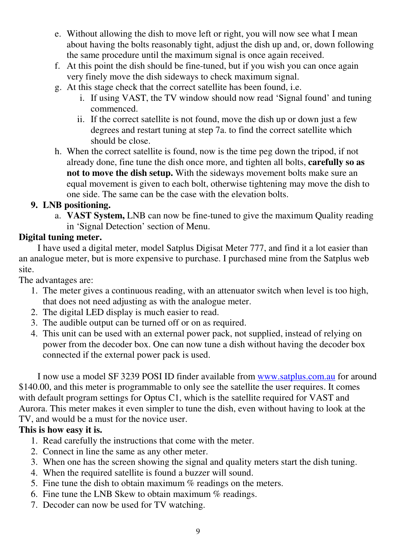- e. Without allowing the dish to move left or right, you will now see what I mean about having the bolts reasonably tight, adjust the dish up and, or, down following the same procedure until the maximum signal is once again received.
- f. At this point the dish should be fine-tuned, but if you wish you can once again very finely move the dish sideways to check maximum signal.
- g. At this stage check that the correct satellite has been found, i.e.
	- i. If using VAST, the TV window should now read 'Signal found' and tuning commenced.
	- ii. If the correct satellite is not found, move the dish up or down just a few degrees and restart tuning at step 7a. to find the correct satellite which should be close.
- h. When the correct satellite is found, now is the time peg down the tripod, if not already done, fine tune the dish once more, and tighten all bolts, **carefully so as not to move the dish setup.** With the sideways movement bolts make sure an equal movement is given to each bolt, otherwise tightening may move the dish to one side. The same can be the case with the elevation bolts.

# **9. LNB positioning.**

a. **VAST System,** LNB can now be fine-tuned to give the maximum Quality reading in 'Signal Detection' section of Menu.

# **Digital tuning meter.**

 I have used a digital meter, model Satplus Digisat Meter 777, and find it a lot easier than an analogue meter, but is more expensive to purchase. I purchased mine from the Satplus web site.

The advantages are:

- 1. The meter gives a continuous reading, with an attenuator switch when level is too high, that does not need adjusting as with the analogue meter.
- 2. The digital LED display is much easier to read.
- 3. The audible output can be turned off or on as required.
- 4. This unit can be used with an external power pack, not supplied, instead of relying on power from the decoder box. One can now tune a dish without having the decoder box connected if the external power pack is used.

 I now use a model SF 3239 POSI ID finder available from www.satplus.com.au for around \$140.00, and this meter is programmable to only see the satellite the user requires. It comes with default program settings for Optus C1, which is the satellite required for VAST and Aurora. This meter makes it even simpler to tune the dish, even without having to look at the TV, and would be a must for the novice user.

# **This is how easy it is.**

- 1. Read carefully the instructions that come with the meter.
- 2. Connect in line the same as any other meter.
- 3. When one has the screen showing the signal and quality meters start the dish tuning.
- 4. When the required satellite is found a buzzer will sound.
- 5. Fine tune the dish to obtain maximum % readings on the meters.
- 6. Fine tune the LNB Skew to obtain maximum  $%$  readings.
- 7. Decoder can now be used for TV watching.